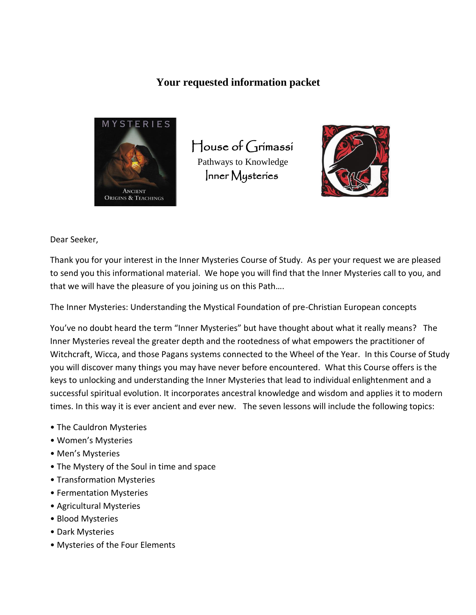#### **Your requested information packet**



 House of Grimassi Pathways to Knowledge Inner Mysteries



Dear Seeker,

Thank you for your interest in the Inner Mysteries Course of Study. As per your request we are pleased to send you this informational material. We hope you will find that the Inner Mysteries call to you, and that we will have the pleasure of you joining us on this Path….

The Inner Mysteries: Understanding the Mystical Foundation of pre-Christian European concepts

You've no doubt heard the term "Inner Mysteries" but have thought about what it really means? The Inner Mysteries reveal the greater depth and the rootedness of what empowers the practitioner of Witchcraft, Wicca, and those Pagans systems connected to the Wheel of the Year. In this Course of Study you will discover many things you may have never before encountered. What this Course offers is the keys to unlocking and understanding the Inner Mysteries that lead to individual enlightenment and a successful spiritual evolution. It incorporates ancestral knowledge and wisdom and applies it to modern times. In this way it is ever ancient and ever new. The seven lessons will include the following topics:

- The Cauldron Mysteries
- Women's Mysteries
- Men's Mysteries
- The Mystery of the Soul in time and space
- Transformation Mysteries
- Fermentation Mysteries
- Agricultural Mysteries
- Blood Mysteries
- Dark Mysteries
- Mysteries of the Four Elements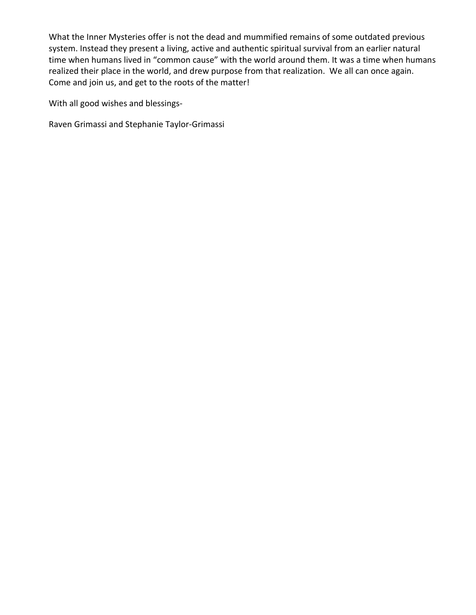What the Inner Mysteries offer is not the dead and mummified remains of some outdated previous system. Instead they present a living, active and authentic spiritual survival from an earlier natural time when humans lived in "common cause" with the world around them. It was a time when humans realized their place in the world, and drew purpose from that realization. We all can once again. Come and join us, and get to the roots of the matter!

With all good wishes and blessings-

Raven Grimassi and Stephanie Taylor-Grimassi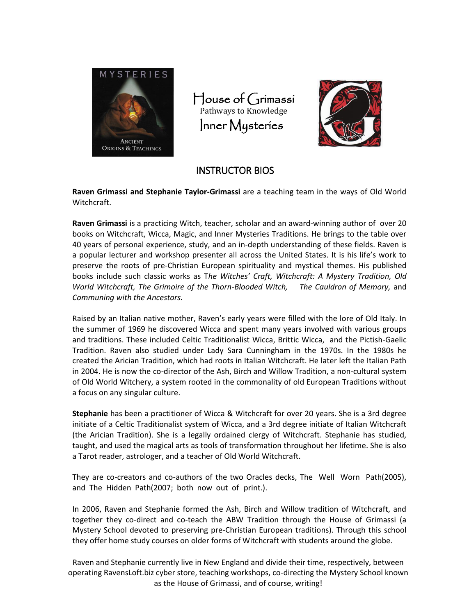



#### INSTRUCTOR BIOS

**Raven Grimassi and Stephanie Taylor-Grimassi** are a teaching team in the ways of Old World Witchcraft.

**Raven Grimassi** is a practicing Witch, teacher, scholar and an award-winning author of over 20 books on Witchcraft, Wicca, Magic, and Inner Mysteries Traditions. He brings to the table over 40 years of personal experience, study, and an in-depth understanding of these fields. Raven is a popular lecturer and workshop presenter all across the United States. It is his life's work to preserve the roots of pre-Christian European spirituality and mystical themes. His published books include such classic works as T*he Witches' Craft, Witchcraft: A Mystery Tradition, Old World Witchcraft, The Grimoire of the Thorn-Blooded Witch, The Cauldron of Memory,* and *Communing with the Ancestors.* 

Raised by an Italian native mother, Raven's early years were filled with the lore of Old Italy. In the summer of 1969 he discovered Wicca and spent many years involved with various groups and traditions. These included Celtic Traditionalist Wicca, Brittic Wicca, and the Pictish-Gaelic Tradition. Raven also studied under Lady Sara Cunningham in the 1970s. In the 1980s he created the Arician Tradition, which had roots in Italian Witchcraft. He later left the Italian Path in 2004. He is now the co-director of the Ash, Birch and Willow Tradition, a non-cultural system of Old World Witchery, a system rooted in the commonality of old European Traditions without a focus on any singular culture.

**Stephanie** has been a practitioner of Wicca & Witchcraft for over 20 years. She is a 3rd degree initiate of a Celtic Traditionalist system of Wicca, and a 3rd degree initiate of Italian Witchcraft (the Arician Tradition). She is a legally ordained clergy of Witchcraft. Stephanie has studied, taught, and used the magical arts as tools of transformation throughout her lifetime. She is also a Tarot reader, astrologer, and a teacher of Old World Witchcraft.

They are co-creators and co-authors of the two Oracles decks, The Well Worn Path(2005), and The Hidden Path(2007; both now out of print.).

In 2006, Raven and Stephanie formed the Ash, Birch and Willow tradition of Witchcraft, and together they co-direct and co-teach the ABW Tradition through the House of Grimassi (a Mystery School devoted to preserving pre-Christian European traditions). Through this school they offer home study courses on older forms of Witchcraft with students around the globe.

Raven and Stephanie currently live in New England and divide their time, respectively, between operating RavensLoft.biz cyber store, teaching workshops, co-directing the Mystery School known as the House of Grimassi, and of course, writing!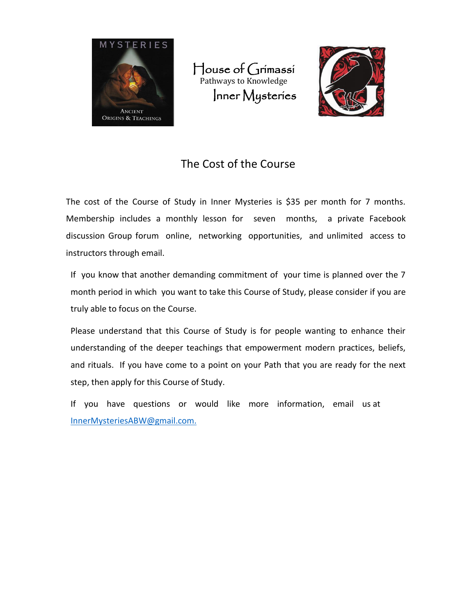



# The Cost of the Course

The cost of the Course of Study in Inner Mysteries is \$35 per month for 7 months. Membership includes a monthly lesson for seven months, a private Facebook discussion Group forum online, networking opportunities, and unlimited access to instructors through email.

If you know that another demanding commitment of your time is planned over the 7 month period in which you want to take this Course of Study, please consider if you are truly able to focus on the Course.

Please understand that this Course of Study is for people wanting to enhance their understanding of the deeper teachings that empowerment modern practices, beliefs, and rituals. If you have come to a point on your Path that you are ready for the next step, then apply for this Course of Study.

If you have questions or would like more information, email us at [InnerMysteriesABW@gmail.com.](mailto:InnerMysteriesABW@gmail.com.)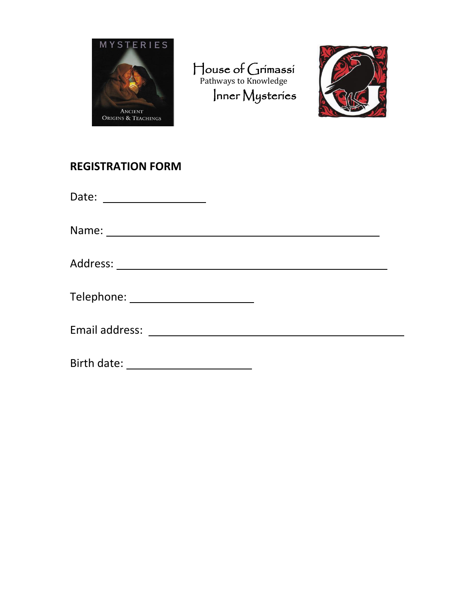



# **REGISTRATION FORM**

Date:

Name:

Address:

| Telephone: |  |
|------------|--|
|------------|--|

Email address:

Birth date: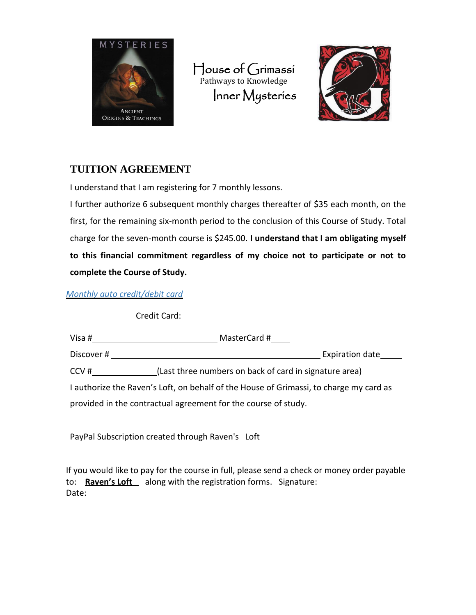



## **TUITION AGREEMENT**

I understand that I am registering for 7 monthly lessons.

I further authorize 6 subsequent monthly charges thereafter of \$35 each month, on the first, for the remaining six-month period to the conclusion of this Course of Study. Total charge for the seven-month course is \$245.00. **I understand that I am obligating myself to this financial commitment regardless of my choice not to participate or not to complete the Course of Study.** 

*Monthly auto credit/debit card* 

Credit Card:

| Visa #                                                                                 | MasterCard #                                           |
|----------------------------------------------------------------------------------------|--------------------------------------------------------|
| Discover#                                                                              | Expiration date                                        |
| CCV#                                                                                   | (Last three numbers on back of card in signature area) |
| I authorize the Raven's Loft, on behalf of the House of Grimassi, to charge my card as |                                                        |
| provided in the contractual agreement for the course of study.                         |                                                        |

PayPal Subscription created through Raven's Loft

If you would like to pay for the course in full, please send a check or money order payable to: **Raven's Loft** along with the registration forms. Signature: Date: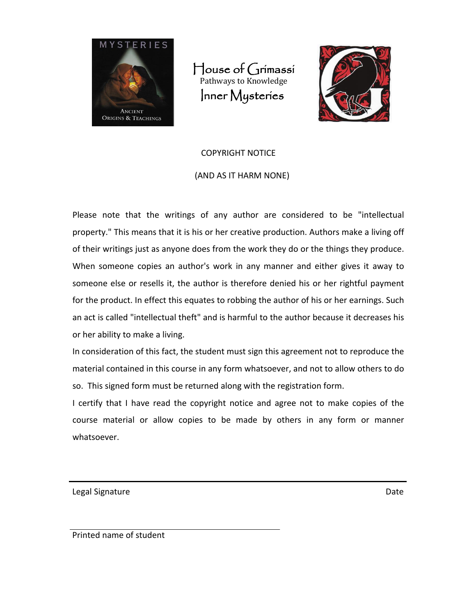



# COPYRIGHT NOTICE (AND AS IT HARM NONE)

Please note that the writings of any author are considered to be "intellectual property." This means that it is his or her creative production. Authors make a living off of their writings just as anyone does from the work they do or the things they produce. When someone copies an author's work in any manner and either gives it away to someone else or resells it, the author is therefore denied his or her rightful payment for the product. In effect this equates to robbing the author of his or her earnings. Such an act is called "intellectual theft" and is harmful to the author because it decreases his or her ability to make a living.

In consideration of this fact, the student must sign this agreement not to reproduce the material contained in this course in any form whatsoever, and not to allow others to do so. This signed form must be returned along with the registration form.

I certify that I have read the copyright notice and agree not to make copies of the course material or allow copies to be made by others in any form or manner whatsoever.

Legal Signature Date

Printed name of student